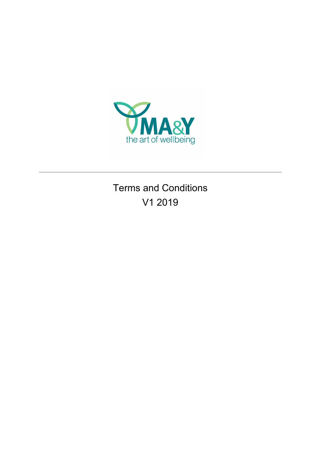

Terms and Conditions V1 2019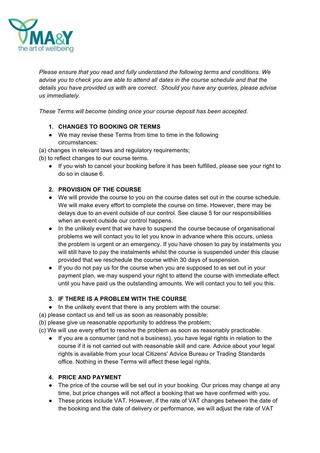

*Please ensure that you read and fully understand the following terms and conditions. We advise you to check you are able to attend all dates in the course schedule and that the details you have provided us with are correct. Should you have any queries, please advise us immediately.* 

*These Terms will become binding once your course deposit has been accepted.*

## **1. CHANGES TO BOOKING OR TERMS**

- We may revise these Terms from time to time in the following circumstances:
- (a) changes in relevant laws and regulatory requirements;
- (b) to reflect changes to our course terms.
	- If you wish to cancel your booking before it has been fulfilled, please see your right to do so in clause 6.

## **2. PROVISION OF THE COURSE**

- We will provide the course to you on the course dates set out in the course schedule. We will make every effort to complete the course on time. However, there may be delays due to an event outside of our control. See clause 5 for our responsibilities when an event outside our control happens.
- In the unlikely event that we have to suspend the course because of organisational problems we will contact you to let you know in advance where this occurs, unless the problem is urgent or an emergency. If you have chosen to pay by instalments you will still have to pay the instalments whilst the course is suspended under this clause provided that we reschedule the course within 30 days of suspension.
- If you do not pay us for the course when you are supposed to as set out in your payment plan, we may suspend your right to attend the course with immediate effect until you have paid us the outstanding amounts. We will contact you to tell you this.

## **3. IF THERE IS A PROBLEM WITH THE COURSE**

● In the unlikely event that there is any problem with the course:

(a) please contact us and tell us as soon as reasonably possible;

(b) please give us reasonable opportunity to address the problem;

(c) We will use every effort to resolve the problem as soon as reasonably practicable.

● If you are a consumer (and not a business), you have legal rights in relation to the course if it is not carried out with reasonable skill and care. Advice about your legal rights is available from your local Citizens' Advice Bureau or Trading Standards office. Nothing in these Terms will affect these legal rights.

## **4. PRICE AND PAYMENT**

- The price of the course will be set out in your booking. Our prices may change at any time, but price changes will not affect a booking that we have confirmed with you.
- These prices include VAT. However, if the rate of VAT changes between the date of the booking and the date of delivery or performance, we will adjust the rate of VAT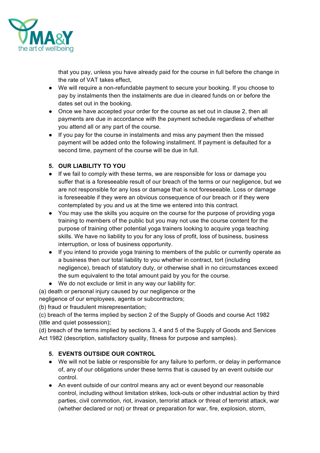

that you pay, unless you have already paid for the course in full before the change in the rate of VAT takes effect,

- We will require a non-refundable payment to secure your booking. If you choose to pay by instalments then the instalments are due in cleared funds on or before the dates set out in the booking.
- Once we have accepted your order for the course as set out in clause 2, then all payments are due in accordance with the payment schedule regardless of whether you attend all or any part of the course.
- If you pay for the course in instalments and miss any payment then the missed payment will be added onto the following installment. If payment is defaulted for a second time, payment of the course will be due in full.

## **5. OUR LIABILITY TO YOU**

- If we fail to comply with these terms, we are responsible for loss or damage you suffer that is a foreseeable result of our breach of the terms or our negligence, but we are not responsible for any loss or damage that is not foreseeable. Loss or damage is foreseeable if they were an obvious consequence of our breach or if they were contemplated by you and us at the time we entered into this contract.
- You may use the skills you acquire on the course for the purpose of providing yoga training to members of the public but you may not use the course content for the purpose of training other potential yoga trainers looking to acquire yoga teaching skills. We have no liability to you for any loss of profit, loss of business, business interruption, or loss of business opportunity.
- If you intend to provide yoga training to members of the public or currently operate as a business then our total liability to you whether in contract, tort (including negligence), breach of statutory duty, or otherwise shall in no circumstances exceed the sum equivalent to the total amount paid by you for the course.
- We do not exclude or limit in any way our liability for:

(a) death or personal injury caused by our negligence or the

negligence of our employees, agents or subcontractors;

(b) fraud or fraudulent misrepresentation;

(c) breach of the terms implied by section 2 of the Supply of Goods and course Act 1982 (title and quiet possession);

(d) breach of the terms implied by sections 3, 4 and 5 of the Supply of Goods and Services Act 1982 (description, satisfactory quality, fitness for purpose and samples).

# **5. EVENTS OUTSIDE OUR CONTROL**

- We will not be liable or responsible for any failure to perform, or delay in performance of, any of our obligations under these terms that is caused by an event outside our control.
- An event outside of our control means any act or event beyond our reasonable control, including without limitation strikes, lock-outs or other industrial action by third parties, civil commotion, riot, invasion, terrorist attack or threat of terrorist attack, war (whether declared or not) or threat or preparation for war, fire, explosion, storm,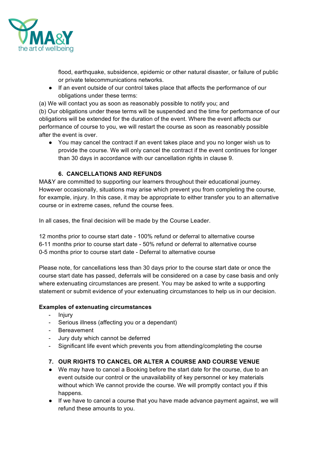

flood, earthquake, subsidence, epidemic or other natural disaster, or failure of public or private telecommunications networks.

● If an event outside of our control takes place that affects the performance of our obligations under these terms:

(a) We will contact you as soon as reasonably possible to notify you; and

(b) Our obligations under these terms will be suspended and the time for performance of our obligations will be extended for the duration of the event. Where the event affects our performance of course to you, we will restart the course as soon as reasonably possible after the event is over.

● You may cancel the contract if an event takes place and you no longer wish us to provide the course. We will only cancel the contract if the event continues for longer than 30 days in accordance with our cancellation rights in clause 9.

## **6. CANCELLATIONS AND REFUNDS**

MA&Y are committed to supporting our learners throughout their educational journey. However occasionally, situations may arise which prevent you from completing the course, for example, injury. In this case, it may be appropriate to either transfer you to an alternative course or in extreme cases, refund the course fees.

In all cases, the final decision will be made by the Course Leader.

12 months prior to course start date - 100% refund or deferral to alternative course 6-11 months prior to course start date - 50% refund or deferral to alternative course 0-5 months prior to course start date - Deferral to alternative course

Please note, for cancellations less than 30 days prior to the course start date or once the course start date has passed, deferrals will be considered on a case by case basis and only where extenuating circumstances are present. You may be asked to write a supporting statement or submit evidence of your extenuating circumstances to help us in our decision.

## **Examples of extenuating circumstances**

- Injury
- Serious illness (affecting you or a dependant)
- Bereavement
- Jury duty which cannot be deferred
- Significant life event which prevents you from attending/completing the course

## **7. OUR RIGHTS TO CANCEL OR ALTER A COURSE AND COURSE VENUE**

- We may have to cancel a Booking before the start date for the course, due to an event outside our control or the unavailability of key personnel or key materials without which We cannot provide the course. We will promptly contact you if this happens.
- If we have to cancel a course that you have made advance payment against, we will refund these amounts to you.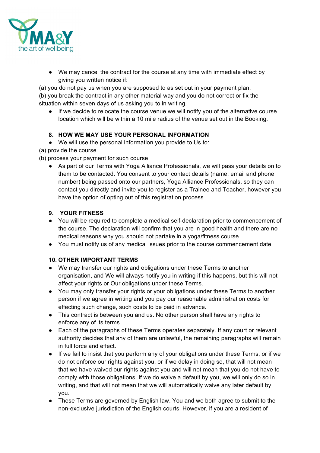

● We may cancel the contract for the course at any time with immediate effect by giving you written notice if:

(a) you do not pay us when you are supposed to as set out in your payment plan. (b) you break the contract in any other material way and you do not correct or fix the situation within seven days of us asking you to in writing.

● If we decide to relocate the course venue we will notify you of the alternative course location which will be within a 10 mile radius of the venue set out in the Booking.

## **8. HOW WE MAY USE YOUR PERSONAL INFORMATION**

● We will use the personal information you provide to Us to:

(a) provide the course

- (b) process your payment for such course
	- As part of our Terms with Yoga Alliance Professionals, we will pass your details on to them to be contacted. You consent to your contact details (name, email and phone number) being passed onto our partners, Yoga Alliance Professionals, so they can contact you directly and invite you to register as a Trainee and Teacher, however you have the option of opting out of this registration process.

#### **9. YOUR FITNESS**

- You will be required to complete a medical self-declaration prior to commencement of the course. The declaration will confirm that you are in good health and there are no medical reasons why you should not partake in a yoga/fitness course.
- You must notify us of any medical issues prior to the course commencement date.

#### **10. OTHER IMPORTANT TERMS**

- We may transfer our rights and obligations under these Terms to another organisation, and We will always notify you in writing if this happens, but this will not affect your rights or Our obligations under these Terms.
- You may only transfer your rights or your obligations under these Terms to another person if we agree in writing and you pay our reasonable administration costs for effecting such change, such costs to be paid in advance.
- This contract is between you and us. No other person shall have any rights to enforce any of its terms.
- Each of the paragraphs of these Terms operates separately. If any court or relevant authority decides that any of them are unlawful, the remaining paragraphs will remain in full force and effect.
- If we fail to insist that you perform any of your obligations under these Terms, or if we do not enforce our rights against you, or if we delay in doing so, that will not mean that we have waived our rights against you and will not mean that you do not have to comply with those obligations. If we do waive a default by you, we will only do so in writing, and that will not mean that we will automatically waive any later default by you.
- These Terms are governed by English law. You and we both agree to submit to the non-exclusive jurisdiction of the English courts. However, if you are a resident of